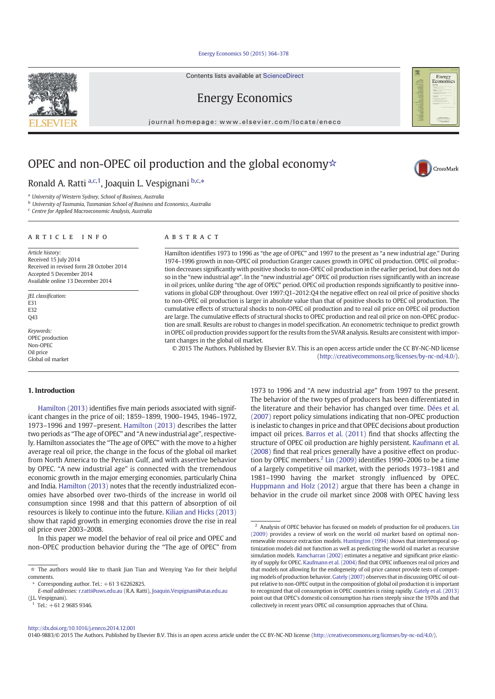Energy Economics 50 (2015) 364–378

Energy Economics

journal homepage: www.elsevier.com/locate/eneco

# OPEC and non-OPEC oil production and the global economy☆

Ronald A. Ratti a,c,1, Joaquin L. Vespignani b,c,\*

<sup>a</sup> University of Western Sydney, School of Business, Australia

**b University of Tasmania, Tasmanian School of Business and Economics, Australia** 

<sup>c</sup> Centre for Applied Macroeconomic Analysis, Australia

#### article info abstract

Article history: Received 15 July 2014 Received in revised form 28 October 2014 Accepted 5 December 2014 Available online 13 December 2014

JEL classification:  $E31$ E32 Q43

Keywords: OPEC production Non-OPEC Oil price Global oil market

1. Introduction

Hamilton identifies 1973 to 1996 as "the age of OPEC" and 1997 to the present as "a new industrial age." During 1974–1996 growth in non-OPEC oil production Granger causes growth in OPEC oil production. OPEC oil production decreases significantly with positive shocks to non-OPEC oil production in the earlier period, but does not do so in the "new industrial age". In the "new industrial age" OPEC oil production rises significantly with an increase in oil prices, unlike during "the age of OPEC" period. OPEC oil production responds significantly to positive innovations in global GDP throughout. Over 1997:Q1–2012:Q4 the negative effect on real oil price of positive shocks to non-OPEC oil production is larger in absolute value than that of positive shocks to OPEC oil production. The cumulative effects of structural shocks to non-OPEC oil production and to real oil price on OPEC oil production are large. The cumulative effects of structural shocks to OPEC production and real oil price on non-OPEC production are small. Results are robust to changes in model specification. An econometric technique to predict growth in OPEC oil production provides support for the results from the SVAR analysis. Results are consistent with important changes in the global oil market.

© 2015 The Authors. Published by Elsevier B.V. This is an open access article under the CC BY-NC-ND license (http://creativecommons.org/licenses/by-nc-nd/4.0/).

# Hamilton (2013) identifies five main periods associated with significant changes in the price of oil; 1859–1899, 1900–1945, 1946–1972, 1973–1996 and 1997–present. Hamilton (2013) describes the latter two periods as "The age of OPEC" and "A new industrial age", respectively. Hamilton associates the "The age of OPEC" with the move to a higher average real oil price, the change in the focus of the global oil market from North America to the Persian Gulf, and with assertive behavior by OPEC. "A new industrial age" is connected with the tremendous economic growth in the major emerging economies, particularly China and India. Hamilton (2013) notes that the recently industrialized economies have absorbed over two-thirds of the increase in world oil consumption since 1998 and that this pattern of absorption of oil resources is likely to continue into the future. Kilian and Hicks (2013) show that rapid growth in emerging economies drove the rise in real oil price over 2003–2008.

In this paper we model the behavior of real oil price and OPEC and non-OPEC production behavior during the "The age of OPEC" from The behavior of the two types of producers has been differentiated in the literature and their behavior has changed over time. Dées et al. (2007) report policy simulations indicating that non-OPEC production is inelastic to changes in price and that OPEC decisions about production impact oil prices. Barros et al. (2011) find that shocks affecting the structure of OPEC oil production are highly persistent. Kaufmann et al. (2008) find that real prices generally have a positive effect on production by OPEC members.<sup>2</sup> Lin (2009) identifies 1990–2006 to be a time of a largely competitive oil market, with the periods 1973–1981 and 1981–1990 having the market strongly influenced by OPEC. Huppmann and Holz (2012) argue that there has been a change in behavior in the crude oil market since 2008 with OPEC having less

1973 to 1996 and "A new industrial age" from 1997 to the present.

http://dx.doi.org/10.1016/j.eneco.2014.12.001

0140-9883/© 2015 The Authors. Published by Elsevier B.V. This is an open access article under the CC BY-NC-ND license (http://creativecommons.org/licenses/by-nc-nd/4.0/).





CrossMark

 $\dot{\sigma}$  The authors would like to thank Jian Tian and Wenying Yao for their helpful comments.

Corresponding author. Tel.:  $+61362262825$ .

E-mail addresses: r.ratti@uws.edu.au (R.A. Ratti), Joaquin.Vespignani@utas.edu.au (J.L. Vespignani).  $1$  Tel.: +61 2 9685 9346.

<sup>&</sup>lt;sup>2</sup> Analysis of OPEC behavior has focused on models of production for oil producers. Lin (2009) provides a review of work on the world oil market based on optimal nonrenewable resource extraction models. Huntington (1994) shows that intertemporal optimization models did not function as well as predicting the world oil market as recursive simulation models. Ramcharran (2002) estimates a negative and significant price elasticity of supply for OPEC. Kaufmann et al. (2004) find that OPEC influences real oil prices and that models not allowing for the endogeneity of oil price cannot provide tests of competing models of production behavior.Gately (2007) observes that in discussing OPEC oil output relative to non-OPEC output in the composition of global oil production it is important to recognized that oil consumption in OPEC countries is rising rapidly. Gately et al. (2013) point out that OPEC's domestic oil consumption has risen steeply since the 1970s and that collectively in recent years OPEC oil consumption approaches that of China.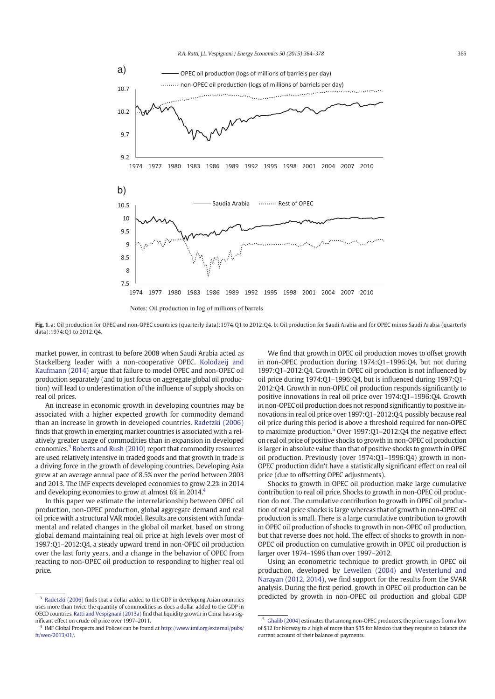

Fig. 1. a: Oil production for OPEC and non-OPEC countries (quarterly data):1974:O1 to 2012:O4. b: Oil production for Saudi Arabia and for OPEC minus Saudi Arabia (quarterly data):1974:Q1 to 2012:Q4.

market power, in contrast to before 2008 when Saudi Arabia acted as Stackelberg leader with a non-cooperative OPEC. Kolodzeij and Kaufmann (2014) argue that failure to model OPEC and non-OPEC oil production separately (and to just focus on aggregate global oil production) will lead to underestimation of the influence of supply shocks on real oil prices.

An increase in economic growth in developing countries may be associated with a higher expected growth for commodity demand than an increase in growth in developed countries. Radetzki (2006) finds that growth in emerging market countries is associated with a relatively greater usage of commodities than in expansion in developed economies.<sup>3</sup> Roberts and Rush (2010) report that commodity resources are used relatively intensive in traded goods and that growth in trade is a driving force in the growth of developing countries. Developing Asia grew at an average annual pace of 8.5% over the period between 2003 and 2013. The IMF expects developed economies to grow 2.2% in 2014 and developing economies to grow at almost 6% in 2014.<sup>4</sup>

In this paper we estimate the interrelationship between OPEC oil production, non-OPEC production, global aggregate demand and real oil price with a structural VAR model. Results are consistent with fundamental and related changes in the global oil market, based on strong global demand maintaining real oil price at high levels over most of 1997:Q1–2012:Q4, a steady upward trend in non-OPEC oil production over the last forty years, and a change in the behavior of OPEC from reacting to non-OPEC oil production to responding to higher real oil price.

We find that growth in OPEC oil production moves to offset growth in non-OPEC production during 1974:Q1–1996:Q4, but not during 1997:Q1–2012:Q4. Growth in OPEC oil production is not influenced by oil price during 1974:Q1–1996:Q4, but is influenced during 1997:Q1– 2012:Q4. Growth in non-OPEC oil production responds significantly to positive innovations in real oil price over 1974:Q1–1996:Q4. Growth in non-OPEC oil production does not respond significantly to positive innovations in real oil price over 1997:Q1–2012:Q4, possibly because real oil price during this period is above a threshold required for non-OPEC to maximize production.<sup>5</sup> Over 1997:Q1-2012:Q4 the negative effect on real oil price of positive shocks to growth in non-OPEC oil production is larger in absolute value than that of positive shocks to growth in OPEC oil production. Previously (over 1974:Q1–1996:Q4) growth in non-OPEC production didn't have a statistically significant effect on real oil price (due to offsetting OPEC adjustments).

Shocks to growth in OPEC oil production make large cumulative contribution to real oil price. Shocks to growth in non-OPEC oil production do not. The cumulative contribution to growth in OPEC oil production of real price shocks is large whereas that of growth in non-OPEC oil production is small. There is a large cumulative contribution to growth in OPEC oil production of shocks to growth in non-OPEC oil production, but that reverse does not hold. The effect of shocks to growth in non-OPEC oil production on cumulative growth in OPEC oil production is larger over 1974–1996 than over 1997–2012.

Using an econometric technique to predict growth in OPEC oil production, developed by Lewellen (2004) and Westerlund and Narayan (2012, 2014), we find support for the results from the SVAR analysis. During the first period, growth in OPEC oil production can be  $\frac{3}{3}$  Radetzki (2006) finds that a dollar added to the GDP in developing Asian countries predicted by growth in non-OPEC oil production and global GDP

uses more than twice the quantity of commodities as does a dollar added to the GDP in OECD countries. Ratti and Vespignani (2013a) find that liquidity growth in China has a significant effect on crude oil price over 1997–2011.

<sup>&</sup>lt;sup>4</sup> IMF Global Prospects and Polices can be found at http://www.imf.org/external/pubs/ ft/weo/2013/01/.

<sup>5</sup> Ghalib (2004) estimates that among non-OPEC producers, the price ranges from a low of \$12 for Norway to a high of more than \$35 for Mexico that they require to balance the current account of their balance of payments.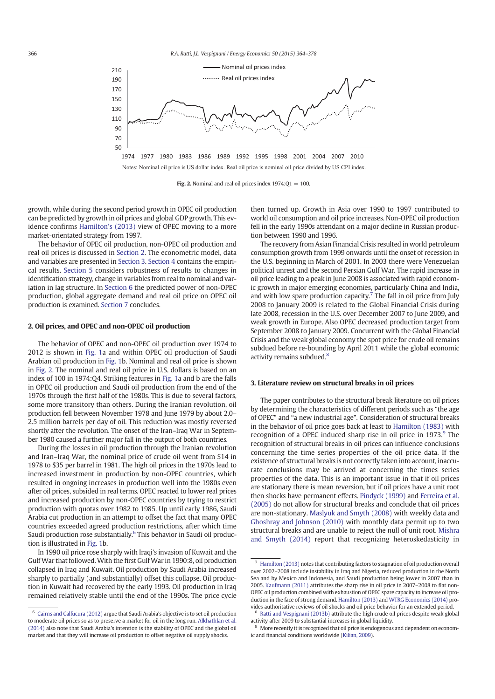

Fig. 2. Nominal and real oil prices index  $1974:Q1 = 100$ .

growth, while during the second period growth in OPEC oil production can be predicted by growth in oil prices and global GDP growth. This evidence confirms Hamilton's (2013) view of OPEC moving to a more market-orientated strategy from 1997.

The behavior of OPEC oil production, non-OPEC oil production and real oil prices is discussed in Section 2. The econometric model, data and variables are presented in Section 3. Section 4 contains the empirical results. Section 5 considers robustness of results to changes in identification strategy, change in variables from real to nominal and variation in lag structure. In Section 6 the predicted power of non-OPEC production, global aggregate demand and real oil price on OPEC oil production is examined. Section 7 concludes.

# 2. Oil prices, and OPEC and non-OPEC oil production

The behavior of OPEC and non-OPEC oil production over 1974 to 2012 is shown in Fig. 1a and within OPEC oil production of Saudi Arabian oil production in Fig. 1b. Nominal and real oil price is shown in Fig. 2. The nominal and real oil price in U.S. dollars is based on an index of 100 in 1974:Q4. Striking features in Fig. 1a and b are the falls in OPEC oil production and Saudi oil production from the end of the 1970s through the first half of the 1980s. This is due to several factors, some more transitory than others. During the Iranian revolution, oil production fell between November 1978 and June 1979 by about 2.0– 2.5 million barrels per day of oil. This reduction was mostly reversed shortly after the revolution. The onset of the Iran–Iraq War in September 1980 caused a further major fall in the output of both countries.

During the losses in oil production through the Iranian revolution and Iran–Iraq War, the nominal price of crude oil went from \$14 in 1978 to \$35 per barrel in 1981. The high oil prices in the 1970s lead to increased investment in production by non-OPEC countries, which resulted in ongoing increases in production well into the 1980s even after oil prices, subsided in real terms. OPEC reacted to lower real prices and increased production by non-OPEC countries by trying to restrict production with quotas over 1982 to 1985. Up until early 1986, Saudi Arabia cut production in an attempt to offset the fact that many OPEC countries exceeded agreed production restrictions, after which time Saudi production rose substantially.<sup>6</sup> This behavior in Saudi oil production is illustrated in Fig. 1b.

In 1990 oil price rose sharply with Iraqi's invasion of Kuwait and the Gulf War that followed. With the first Gulf War in 1990:8, oil production collapsed in Iraq and Kuwait. Oil production by Saudi Arabia increased sharply to partially (and substantially) offset this collapse. Oil production in Kuwait had recovered by the early 1993. Oil production in Iraq remained relatively stable until the end of the 1990s. The price cycle then turned up. Growth in Asia over 1990 to 1997 contributed to world oil consumption and oil price increases. Non-OPEC oil production fell in the early 1990s attendant on a major decline in Russian production between 1990 and 1996.

The recovery from Asian Financial Crisis resulted in world petroleum consumption growth from 1999 onwards until the onset of recession in the U.S. beginning in March of 2001. In 2003 there were Venezuelan political unrest and the second Persian Gulf War. The rapid increase in oil price leading to a peak in June 2008 is associated with rapid economic growth in major emerging economies, particularly China and India, and with low spare production capacity.<sup>7</sup> The fall in oil price from July 2008 to January 2009 is related to the Global Financial Crisis during late 2008, recession in the U.S. over December 2007 to June 2009, and weak growth in Europe. Also OPEC decreased production target from September 2008 to January 2009. Concurrent with the Global Financial Crisis and the weak global economy the spot price for crude oil remains subdued before re-bounding by April 2011 while the global economic activity remains subdued.<sup>8</sup>

#### 3. Literature review on structural breaks in oil prices

The paper contributes to the structural break literature on oil prices by determining the characteristics of different periods such as "the age of OPEC" and "a new industrial age". Consideration of structural breaks in the behavior of oil price goes back at least to Hamilton (1983) with recognition of a OPEC induced sharp rise in oil price in 1973.<sup>9</sup> The recognition of structural breaks in oil prices can influence conclusions concerning the time series properties of the oil price data. If the existence of structural breaks is not correctly taken into account, inaccurate conclusions may be arrived at concerning the times series properties of the data. This is an important issue in that if oil prices are stationary there is mean reversion, but if oil prices have a unit root then shocks have permanent effects. Pindyck (1999) and Ferreira et al. (2005) do not allow for structural breaks and conclude that oil prices are non-stationary. Maslyuk and Smyth (2008) with weekly data and Ghoshray and Johnson (2010) with monthly data permit up to two structural breaks and are unable to reject the null of unit root. Mishra and Smyth (2014) report that recognizing heteroskedasticity in

<sup>6</sup> Cairns and Calfucura (2012) argue that Saudi Arabia's objective is to set oil production to moderate oil prices so as to preserve a market for oil in the long run. Alkhathlan et al. (2014) also note that Saudi Arabia's intention is the stability of OPEC and the global oil market and that they will increase oil production to offset negative oil supply shocks.

<sup>7</sup> Hamilton (2013) notes that contributing factors to stagnation of oil production overall over 2002–2008 include instability in Iraq and Nigeria, reduced production in the North Sea and by Mexico and Indonesia, and Saudi production being lower in 2007 than in 2005. Kaufmann (2011) attributes the sharp rise in oil price in 2007–2008 to flat non-OPEC oil production combined with exhaustion of OPEC spare capacity to increase oil production in the face of strong demand. Hamilton (2013) and WTRG Economics (2014) provides authoritative reviews of oil shocks and oil price behavior for an extended period.

<sup>8</sup> Ratti and Vespignani (2013b) attribute the high crude oil prices despite weak global activity after 2009 to substantial increases in global liquidity.

<sup>&</sup>lt;sup>9</sup> More recently it is recognized that oil price is endogenous and dependent on economic and financial conditions worldwide (Kilian, 2009).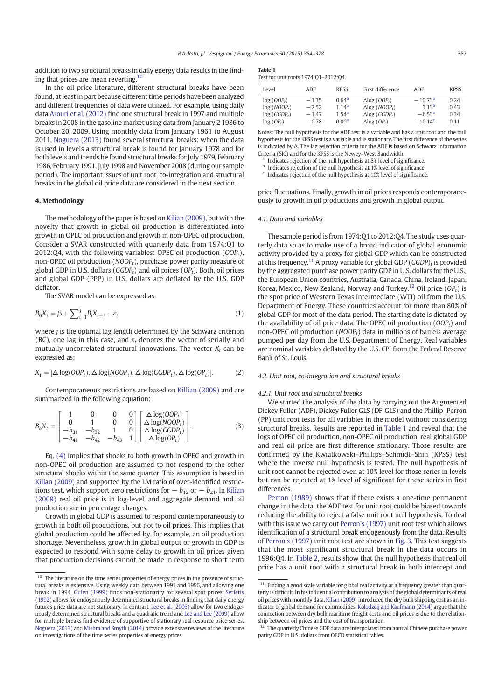addition to two structural breaks in daily energy data results in the finding that prices are mean reverting.<sup>10</sup>

In the oil price literature, different structural breaks have been found, at least in part because different time periods have been analyzed and different frequencies of data were utilized. For example, using daily data Arouri et al. (2012) find one structural break in 1997 and multiple breaks in 2008 in the gasoline market using data from January 2 1986 to October 20, 2009. Using monthly data from January 1961 to August 2011, Noguera (2013) found several structural breaks: when the data is used in levels a structural break is found for January 1978 and for both levels and trends he found structural breaks for July 1979, February 1986, February 1991, July 1998 and November 2008 (during our sample period). The important issues of unit root, co-integration and structural breaks in the global oil price data are considered in the next section.

# 4. Methodology

The methodology of the paper is based on Kilian (2009), but with the novelty that growth in global oil production is differentiated into growth in OPEC oil production and growth in non-OPEC oil production. Consider a SVAR constructed with quarterly data from 1974:Q1 to 2012:Q4, with the following variables: OPEC oil production  $(OOP<sub>t</sub>)$ , non-OPEC oil production ( $NOOP<sub>t</sub>$ ), purchase power parity measure of global GDP in U.S. dollars ( $GGDP<sub>t</sub>$ ) and oil prices ( $OP<sub>t</sub>$ ). Both, oil prices and global GDP (PPP) in U.S. dollars are deflated by the U.S. GDP deflator.

The SVAR model can be expressed as:

$$
B_0 X_t = \beta + \sum_{i=1}^j B_i X_{t-i} + \varepsilon_t \tag{1}
$$

where  $j$  is the optimal lag length determined by the Schwarz criterion (BC), one lag in this case, and  $\varepsilon_t$  denotes the vector of serially and mutually uncorrelated structural innovations. The vector  $X_t$  can be expressed as:

$$
X_t = [\Delta \log(OOP_t), \Delta \log(NOOP_t), \Delta \log(GGDP_t), \Delta \log(OP_t)].
$$
 (2)

Contemporaneous restrictions are based on Killian (2009) and are summarized in the following equation:

$$
B_0 X_t = \begin{bmatrix} 1 & 0 & 0 & 0 \\ 0 & 1 & 0 & 0 \\ -b_{31} & -b_{32} & 1 & 0 \\ -b_{41} & -b_{42} & -b_{43} & 1 \end{bmatrix} \begin{bmatrix} \Delta \log(OOP_t) \\ \Delta \log(NOOP_t) \\ \Delta \log(GCDP_t) \\ \Delta \log(OP_t) \end{bmatrix} .
$$
 (3)

Eq. (4) implies that shocks to both growth in OPEC and growth in non-OPEC oil production are assumed to not respond to the other structural shocks within the same quarter. This assumption is based in Kilian (2009) and supported by the LM ratio of over-identified restrictions test, which support zero restrictions for  $- b_{12}$  or  $- b_{21}$ . In Kilian (2009) real oil price is in log-level, and aggregate demand and oil production are in percentage changes.

Growth in global GDP is assumed to respond contemporaneously to growth in both oil productions, but not to oil prices. This implies that global production could be affected by, for example, an oil production shortage. Nevertheless, growth in global output or growth in GDP is expected to respond with some delay to growth in oil prices given that production decisions cannot be made in response to short term

| Table 1 |                                      |
|---------|--------------------------------------|
|         | Test for unit roots 1974:01-2012:04. |

| Level                                                                               | ADF                                      | <b>KPSS</b>                                                                      | First difference                                                                                                                              | ADF                                                               | <b>KPSS</b>                  |
|-------------------------------------------------------------------------------------|------------------------------------------|----------------------------------------------------------------------------------|-----------------------------------------------------------------------------------------------------------------------------------------------|-------------------------------------------------------------------|------------------------------|
| $log (OOP_t)$<br>log(NOOP <sub>t</sub> )<br>log(GGDP <sub>t</sub> )<br>$log (OP_t)$ | $-1.35$<br>$-2.52$<br>$-1.47$<br>$-0.78$ | 0.64 <sup>b</sup><br>1.14 <sup>a</sup><br>1.54 <sup>a</sup><br>0.80 <sup>a</sup> | $\Delta$ log (OOP <sub>t</sub> )<br>$\Delta$ log (NOOP <sub>t</sub> )<br>$\Delta$ log (GGDP <sub>t</sub> )<br>$\Delta$ log (OP <sub>t</sub> ) | $-10.73a$<br>313 <sup>b</sup><br>$-6.53a$<br>$-1014$ <sup>c</sup> | 0.24<br>0.43<br>0.34<br>0.11 |

Notes: The null hypothesis for the ADF test is a variable and has a unit root and the null hypothesis for the KPSS test is a variable and is stationary. The first difference of the series is indicated by Δ. The lag selection criteria for the ADF is based on Schwarz information Criteria (SIC) and for the KPSS is the Newey–West Bandwidth.

Indicates rejection of the null hypothesis at 5% level of significance.

<sup>b</sup> Indicates rejection of the null hypothesis at 1% level of significance.

<sup>c</sup> Indicates rejection of the null hypothesis at 10% level of significance.

price fluctuations. Finally, growth in oil prices responds contemporaneously to growth in oil productions and growth in global output.

#### 4.1. Data and variables

The sample period is from 1974:Q1 to 2012:Q4. The study uses quarterly data so as to make use of a broad indicator of global economic activity provided by a proxy for global GDP which can be constructed at this frequency.<sup>11</sup> A proxy variable for global GDP (*GGDP*)<sub>t</sub> is provided by the aggregated purchase power parity GDP in U.S. dollars for the U.S., the European Union countries, Australia, Canada, China, Ireland, Japan, Korea, Mexico, New Zealand, Norway and Turkey.<sup>12</sup> Oil price (OP<sub>t</sub>) is the spot price of Western Texas Intermediate (WTI) oil from the U.S. Department of Energy. These countries account for more than 80% of global GDP for most of the data period. The starting date is dictated by the availability of oil price data. The OPEC oil production  $(OOP<sub>t</sub>)$  and non-OPEC oil production ( $NOOP<sub>t</sub>$ ) data in millions of barrels average pumped per day from the U.S. Department of Energy. Real variables are nominal variables deflated by the U.S. CPI from the Federal Reserve Bank of St. Louis.

# 4.2. Unit root, co-integration and structural breaks

# 4.2.1. Unit root and structural breaks

We started the analysis of the data by carrying out the Augmented Dickey Fuller (ADF), Dickey Fuller GLS (DF-GLS) and the Phillip–Perron (PP) unit root tests for all variables in the model without considering structural breaks. Results are reported in Table 1 and reveal that the logs of OPEC oil production, non-OPEC oil production, real global GDP and real oil price are first difference stationary. Those results are confirmed by the Kwiatkowski–Phillips–Schmidt–Shin (KPSS) test where the inverse null hypothesis is tested. The null hypothesis of unit root cannot be rejected even at 10% level for those series in levels but can be rejected at 1% level of significant for these series in first differences.

Perron (1989) shows that if there exists a one-time permanent change in the data, the ADF test for unit root could be biased towards reducing the ability to reject a false unit root null hypothesis. To deal with this issue we carry out Perron's (1997) unit root test which allows identification of a structural break endogenously from the data. Results of Perron's (1997) unit root test are shown in Fig. 3. This test suggests that the most significant structural break in the data occurs in 1996:Q4. In Table 2, results show that the null hypothesis that real oil price has a unit root with a structural break in both intercept and

 $10$  The literature on the time series properties of energy prices in the presence of structural breaks is extensive. Using weekly data between 1991 and 1996, and allowing one break in 1994, Gulen (1999) finds non-stationarity for several spot prices. Serletis (1992) allows for endogenously determined structural breaks in finding that daily energy futures price data are not stationary. In contrast, Lee et al. (2006) allow for two endogenously determined structural breaks and a quadratic trend and Lee and Lee (2009) allow for multiple breaks find evidence of supportive of stationary real resource price series. Noguera (2013) and Mishra and Smyth (2014) provide extensive reviews of the literature on investigations of the time series properties of energy prices.

 $11$  Finding a good scale variable for global real activity at a frequency greater than quarterly is difficult. In his influential contribution to analysis of the global determinants of real oil prices with monthly data, Kilian (2009) introduced the dry bulk shipping cost as an indicator of global demand for commodities. Kolodzeij and Kaufmann (2014) argue that the connection between dry bulk maritime freight costs and oil prices is due to the relationship between oil prices and the cost of transportation.

 $12^{12}$  The quarterly Chinese GDP data are interpolated from annual Chinese purchase power parity GDP in U.S. dollars from OECD statistical tables.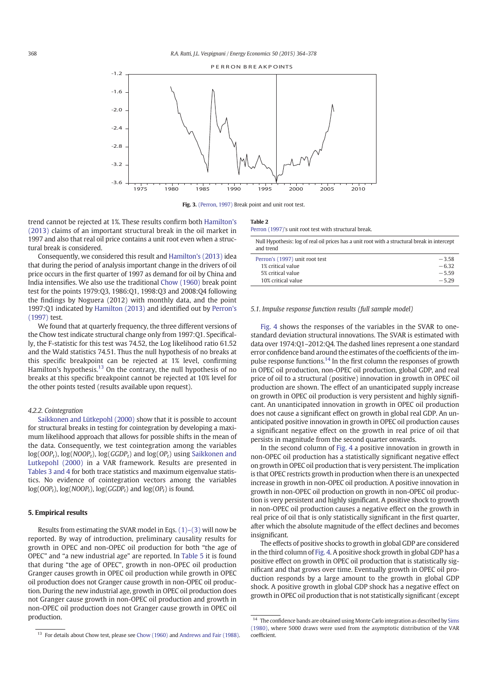#### 368 R.A. Ratti, J.L. Vespignani / Energy Economics 50 (2015) 364–378



Fig. 3. (Perron, 1997) Break point and unit root test.

trend cannot be rejected at 1%. These results confirm both Hamilton's (2013) claims of an important structural break in the oil market in 1997 and also that real oil price contains a unit root even when a structural break is considered.

Consequently, we considered this result and Hamilton's (2013) idea that during the period of analysis important change in the drivers of oil price occurs in the first quarter of 1997 as demand for oil by China and India intensifies. We also use the traditional Chow (1960) break point test for the points 1979:Q3, 1986:Q1, 1998:Q3 and 2008:Q4 following the findings by Noguera (2012) with monthly data, and the point 1997:Q1 indicated by Hamilton (2013) and identified out by Perron's (1997) test.

We found that at quarterly frequency, the three different versions of the Chow test indicate structural change only from 1997:Q1. Specifically, the F-statistic for this test was 74.52, the Log likelihood ratio 61.52 and the Wald statistics 74.51. Thus the null hypothesis of no breaks at this specific breakpoint can be rejected at 1% level, confirming Hamilton's hypothesis.<sup>13</sup> On the contrary, the null hypothesis of no breaks at this specific breakpoint cannot be rejected at 10% level for the other points tested (results available upon request).

#### 4.2.2. Cointegration

Saikkonen and Lütkepohl (2000) show that it is possible to account for structural breaks in testing for cointegration by developing a maximum likelihood approach that allows for possible shifts in the mean of the data. Consequently, we test cointegration among the variables  $log(OOP<sub>t</sub>)$ ,  $log(NOOP<sub>t</sub>)$ ,  $log(GGDP<sub>t</sub>)$  and  $log(OP<sub>t</sub>)$  using Saikkonen and Lutkepohl (2000) in a VAR framework. Results are presented in Tables 3 and 4 for both trace statistics and maximum eigenvalue statistics. No evidence of cointegration vectors among the variables  $log(OOP<sub>t</sub>)$ ,  $log(NOOP<sub>t</sub>)$ ,  $log(GGDP<sub>t</sub>)$  and  $log(OP<sub>t</sub>)$  is found.

# 5. Empirical results

Results from estimating the SVAR model in Eqs.  $(1)-(3)$  will now be reported. By way of introduction, preliminary causality results for growth in OPEC and non-OPEC oil production for both "the age of OPEC" and "a new industrial age" are reported. In Table 5 it is found that during "the age of OPEC", growth in non-OPEC oil production Granger causes growth in OPEC oil production while growth in OPEC oil production does not Granger cause growth in non-OPEC oil production. During the new industrial age, growth in OPEC oil production does not Granger cause growth in non-OPEC oil production and growth in non-OPEC oil production does not Granger cause growth in OPEC oil production.

#### Table 2

Perron (1997)'s unit root test with structural break.

| Null Hypothesis: log of real oil prices has a unit root with a structural break in intercept<br>and trend |         |
|-----------------------------------------------------------------------------------------------------------|---------|
| Perron's (1997) unit root test                                                                            | $-3.58$ |
| 1% critical value                                                                                         | $-632$  |

 $5\%$  critical value  $-5.59$  $10\%$  critical value  $-5.29$ 

#### 5.1. Impulse response function results (full sample model)

Fig. 4 shows the responses of the variables in the SVAR to onestandard deviation structural innovations. The SVAR is estimated with data over 1974:Q1–2012:Q4. The dashed lines represent a one standard error confidence band around the estimates of the coefficients of the impulse response functions.14 In the first column the responses of growth in OPEC oil production, non-OPEC oil production, global GDP, and real price of oil to a structural (positive) innovation in growth in OPEC oil production are shown. The effect of an unanticipated supply increase on growth in OPEC oil production is very persistent and highly significant. An unanticipated innovation in growth in OPEC oil production does not cause a significant effect on growth in global real GDP. An unanticipated positive innovation in growth in OPEC oil production causes a significant negative effect on the growth in real price of oil that persists in magnitude from the second quarter onwards.

In the second column of Fig. 4 a positive innovation in growth in non-OPEC oil production has a statistically significant negative effect on growth in OPEC oil production that is very persistent. The implication is that OPEC restricts growth in production when there is an unexpected increase in growth in non-OPEC oil production. A positive innovation in growth in non-OPEC oil production on growth in non-OPEC oil production is very persistent and highly significant. A positive shock to growth in non-OPEC oil production causes a negative effect on the growth in real price of oil that is only statistically significant in the first quarter, after which the absolute magnitude of the effect declines and becomes insignificant.

The effects of positive shocks to growth in global GDP are considered in the third column of Fig. 4. A positive shock growth in global GDP has a positive effect on growth in OPEC oil production that is statistically significant and that grows over time. Eventually growth in OPEC oil production responds by a large amount to the growth in global GDP shock. A positive growth in global GDP shock has a negative effect on growth in OPEC oil production that is not statistically significant (except

 $^{13}$  For details about Chow test, please see Chow (1960) and Andrews and Fair (1988).

 $^{14}\,$  The confidence bands are obtained using Monte Carlo integration as described by Sims (1980), where 5000 draws were used from the asymptotic distribution of the VAR coefficient.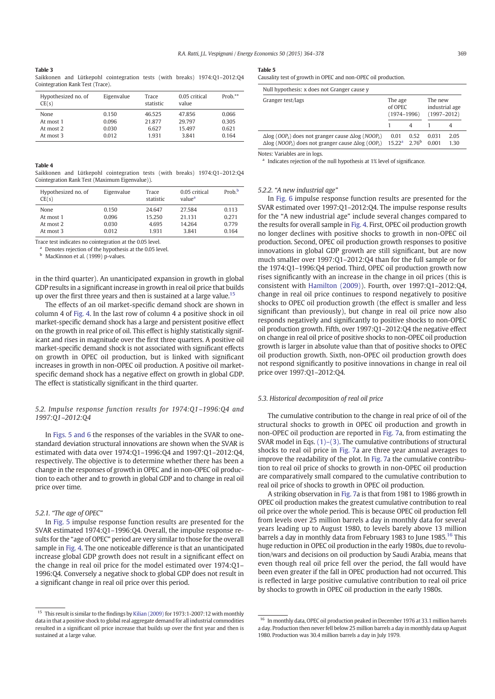#### Table 3 Saikkonen and Lütkepohl cointegration tests (with breaks) 1974:Q1–2012:Q4 Cointegration Rank Test (Trace).

| Hypothesized no. of<br>CE(s) | Eigenvalue | Trace<br>statistic | 0.05 critical<br>value | Prob.** |
|------------------------------|------------|--------------------|------------------------|---------|
| None                         | 0.150      | 46.525             | 47.856                 | 0.066   |
| At most 1                    | 0.096      | 21.877             | 29.797                 | 0.305   |
| At most 2                    | 0.030      | 6.627              | 15.497                 | 0.621   |
| At most 3                    | 0.012      | 1.931              | 3.841                  | 0.164   |
|                              |            |                    |                        |         |

Saikkonen and Lütkepohl cointegration tests (with breaks) 1974:Q1–2012:Q4 Cointegration Rank Test (Maximum Eigenvalue)).

| Hypothesized no. of<br>CE(s) | Eigenvalue | Trace<br>statistic | 0.05 critical<br>value <sup>a</sup> | Prob. <sup>b</sup> |
|------------------------------|------------|--------------------|-------------------------------------|--------------------|
| None                         | 0.150      | 24.647             | 27.584                              | 0.113              |
| At most 1                    | 0.096      | 15.250             | 21.131                              | 0.271              |
| At most 2                    | 0.030      | 4.695              | 14.264                              | 0.779              |
| At most 3                    | 0.012      | 1.931              | 3.841                               | 0.164              |

Trace test indicates no cointegration at the 0.05 level.

<sup>a</sup> Denotes rejection of the hypothesis at the 0.05 level.

MacKinnon et al. (1999) p-values.

in the third quarter). An unanticipated expansion in growth in global GDP results in a significant increase in growth in real oil price that builds up over the first three years and then is sustained at a large value.<sup>15</sup>

The effects of an oil market-specific demand shock are shown in column 4 of Fig. 4. In the last row of column 4 a positive shock in oil market-specific demand shock has a large and persistent positive effect on the growth in real price of oil. This effect is highly statistically significant and rises in magnitude over the first three quarters. A positive oil market-specific demand shock is not associated with significant effects on growth in OPEC oil production, but is linked with significant increases in growth in non-OPEC oil production. A positive oil marketspecific demand shock has a negative effect on growth in global GDP. The effect is statistically significant in the third quarter.

# 5.2. Impulse response function results for 1974:Q1–1996:Q4 and 1997:Q1–2012:Q4

In Figs. 5 and 6 the responses of the variables in the SVAR to onestandard deviation structural innovations are shown when the SVAR is estimated with data over 1974:Q1–1996:Q4 and 1997:Q1–2012:Q4, respectively. The objective is to determine whether there has been a change in the responses of growth in OPEC and in non-OPEC oil production to each other and to growth in global GDP and to change in real oil price over time.

# 5.2.1. "The age of OPEC"

In Fig. 5 impulse response function results are presented for the SVAR estimated 1974:Q1–1996:Q4. Overall, the impulse response results for the "age of OPEC" period are very similar to those for the overall sample in Fig. 4. The one noticeable difference is that an unanticipated increase global GDP growth does not result in a significant effect on the change in real oil price for the model estimated over 1974:Q1– 1996:Q4. Conversely a negative shock to global GDP does not result in a significant change in real oil price over this period.

# Table 5

Causality test of growth in OPEC and non-OPEC oil production.

| Null hypothesis: x does not Granger cause y                                                                                                                                            |                            |                                       |                                              |              |  |  |  |
|----------------------------------------------------------------------------------------------------------------------------------------------------------------------------------------|----------------------------|---------------------------------------|----------------------------------------------|--------------|--|--|--|
| Granger test/lags                                                                                                                                                                      |                            | The age<br>of OPEC<br>$(1974 - 1996)$ | The new<br>industrial age<br>$(1997 - 2012)$ |              |  |  |  |
|                                                                                                                                                                                        |                            | 4                                     |                                              | 4            |  |  |  |
| $\Delta$ log (OOP <sub>t</sub> ) does not granger cause $\Delta$ log (NOOP <sub>t</sub> )<br>$\Delta$ log (NOOP <sub>t</sub> ) does not granger cause $\Delta$ log (OOP <sub>t</sub> ) | 0.01<br>15.22 <sup>a</sup> | 0.52<br>$2.76^{\rm b}$                | 0.031<br>0.001                               | 2.05<br>1.30 |  |  |  |

Notes: Variables are in logs.

a Indicates rejection of the null hypothesis at 1% level of significance.

## 5.2.2. "A new industrial age"

In Fig. 6 impulse response function results are presented for the SVAR estimated over 1997:Q1–2012:Q4. The impulse response results for the "A new industrial age" include several changes compared to the results for overall sample in Fig. 4. First, OPEC oil production growth no longer declines with positive shocks to growth in non-OPEC oil production. Second, OPEC oil production growth responses to positive innovations in global GDP growth are still significant, but are now much smaller over 1997:Q1–2012:Q4 than for the full sample or for the 1974:Q1–1996:Q4 period. Third, OPEC oil production growth now rises significantly with an increase in the change in oil prices (this is consistent with Hamilton (2009)). Fourth, over 1997:Q1–2012:Q4, change in real oil price continues to respond negatively to positive shocks to OPEC oil production growth (the effect is smaller and less significant than previously), but change in real oil price now also responds negatively and significantly to positive shocks to non-OPEC oil production growth. Fifth, over 1997:Q1–2012:Q4 the negative effect on change in real oil price of positive shocks to non-OPEC oil production growth is larger in absolute value than that of positive shocks to OPEC oil production growth. Sixth, non-OPEC oil production growth does not respond significantly to positive innovations in change in real oil price over 1997:Q1–2012:Q4.

# 5.3. Historical decomposition of real oil price

The cumulative contribution to the change in real price of oil of the structural shocks to growth in OPEC oil production and growth in non-OPEC oil production are reported in Fig. 7a, from estimating the SVAR model in Eqs.  $(1)$ – $(3)$ . The cumulative contributions of structural shocks to real oil price in Fig. 7a are three year annual averages to improve the readability of the plot. In Fig. 7a the cumulative contribution to real oil price of shocks to growth in non-OPEC oil production are comparatively small compared to the cumulative contribution to real oil price of shocks to growth in OPEC oil production.

A striking observation in Fig. 7a is that from 1981 to 1986 growth in OPEC oil production makes the greatest cumulative contribution to real oil price over the whole period. This is because OPEC oil production fell from levels over 25 million barrels a day in monthly data for several years leading up to August 1980, to levels barely above 13 million barrels a day in monthly data from February 1983 to June 1985.<sup>16</sup> This huge reduction in OPEC oil production in the early 1980s, due to revolution/wars and decisions on oil production by Saudi Arabia, means that even though real oil price fell over the period, the fall would have been even greater if the fall in OPEC production had not occurred. This is reflected in large positive cumulative contribution to real oil price by shocks to growth in OPEC oil production in the early 1980s.

<sup>&</sup>lt;sup>15</sup> This result is similar to the findings by Kilian (2009) for 1973:1-2007:12 with monthly data in that a positive shock to global real aggregate demand for all industrial commodities resulted in a significant oil price increase that builds up over the first year and then is sustained at a large value.

<sup>&</sup>lt;sup>16</sup> In monthly data, OPEC oil production peaked in December 1976 at 33.1 million barrels a day. Production then never fell below 25 million barrels a day in monthly data up August 1980. Production was 30.4 million barrels a day in July 1979.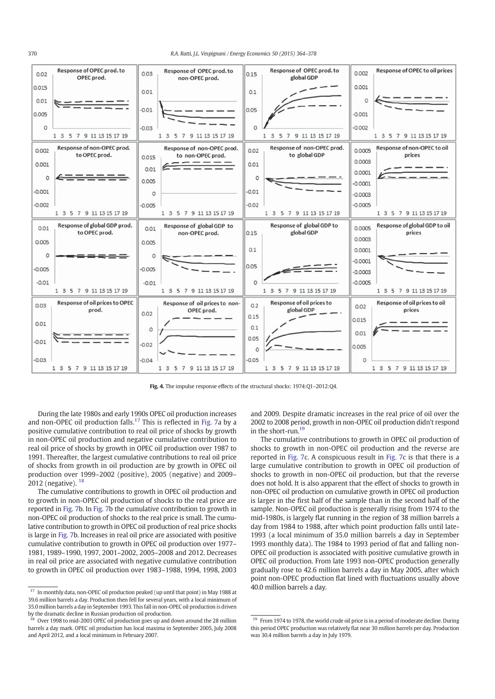# 370 R.A. Ratti, J.L. Vespignani / Energy Economics 50 (2015) 364–378



Fig. 4. The impulse response effects of the structural shocks: 1974:Q1-2012:Q4.

During the late 1980s and early 1990s OPEC oil production increases and non-OPEC oil production falls.<sup>17</sup> This is reflected in Fig. 7a by a positive cumulative contribution to real oil price of shocks by growth in non-OPEC oil production and negative cumulative contribution to real oil price of shocks by growth in OPEC oil production over 1987 to 1991. Thereafter, the largest cumulative contributions to real oil price of shocks from growth in oil production are by growth in OPEC oil production over 1999–2002 (positive), 2005 (negative) and 2009– 2012 (negative). <sup>18</sup>

The cumulative contributions to growth in OPEC oil production and to growth in non-OPEC oil production of shocks to the real price are reported in Fig. 7b. In Fig. 7b the cumulative contribution to growth in non-OPEC oil production of shocks to the real price is small. The cumulative contribution to growth in OPEC oil production of real price shocks is large in Fig. 7b. Increases in real oil price are associated with positive cumulative contribution to growth in OPEC oil production over 1977– 1981, 1989–1990, 1997, 2001–2002, 2005–2008 and 2012. Decreases in real oil price are associated with negative cumulative contribution to growth in OPEC oil production over 1983–1988, 1994, 1998, 2003

and 2009. Despite dramatic increases in the real price of oil over the 2002 to 2008 period, growth in non-OPEC oil production didn't respond in the short-run.<sup>19</sup>

The cumulative contributions to growth in OPEC oil production of shocks to growth in non-OPEC oil production and the reverse are reported in Fig. 7c. A conspicuous result in Fig. 7c is that there is a large cumulative contribution to growth in OPEC oil production of shocks to growth in non-OPEC oil production, but that the reverse does not hold. It is also apparent that the effect of shocks to growth in non-OPEC oil production on cumulative growth in OPEC oil production is larger in the first half of the sample than in the second half of the sample. Non-OPEC oil production is generally rising from 1974 to the mid-1980s, is largely flat running in the region of 38 million barrels a day from 1984 to 1988, after which point production falls until late-1993 (a local minimum of 35.0 million barrels a day in September 1993 monthly data). The 1984 to 1993 period of flat and falling non-OPEC oil production is associated with positive cumulative growth in OPEC oil production. From late 1993 non-OPEC production generally gradually rose to 42.6 million barrels a day in May 2005, after which point non-OPEC production flat lined with fluctuations usually above

 $\frac{1}{17}$  In monthly data, non-OPEC oil production peaked (up until that point) in May 1988 at  $\frac{40.0 \text{ million barriers}}{40.0 \text{ million barriers}}$ 39.6 million barrels a day. Production then fell for several years, with a local minimum of 35.0 million barrels a day in September 1993. This fall in non-OPEC oil production is driven by the dramatic decline in Russian production oil production.

<sup>18</sup> Over 1998 to mid-2003 OPEC oil production goes up and down around the 28 million barrels a day mark. OPEC oil production has local maxima in September 2005, July 2008 and April 2012, and a local minimum in February 2007.

<sup>19</sup> From 1974 to 1978, the world crude oil price is in a period of moderate decline. During this period OPEC production was relatively flat near 30 million barrels per day. Production was 30.4 million barrels a day in July 1979.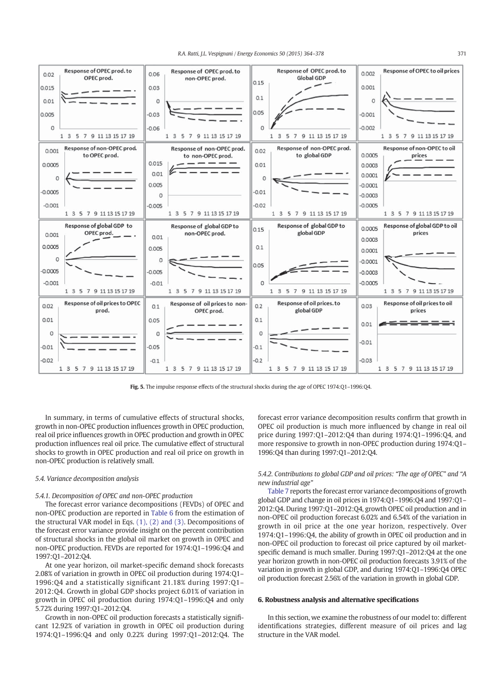

Fig. 5. The impulse response effects of the structural shocks during the age of OPEC 1974:Q1-1996:Q4.

In summary, in terms of cumulative effects of structural shocks, growth in non-OPEC production influences growth in OPEC production, real oil price influences growth in OPEC production and growth in OPEC production influences real oil price. The cumulative effect of structural shocks to growth in OPEC production and real oil price on growth in non-OPEC production is relatively small.

#### 5.4. Variance decomposition analysis

# 5.4.1. Decomposition of OPEC and non-OPEC production

The forecast error variance decompositions (FEVDs) of OPEC and non-OPEC production are reported in Table 6 from the estimation of the structural VAR model in Eqs. (1), (2) and (3). Decompositions of the forecast error variance provide insight on the percent contribution of structural shocks in the global oil market on growth in OPEC and non-OPEC production. FEVDs are reported for 1974:Q1–1996:Q4 and 1997:Q1–2012:Q4.

At one year horizon, oil market-specific demand shock forecasts 2.08% of variation in growth in OPEC oil production during 1974:Q1– 1996:Q4 and a statistically significant 21.18% during 1997:Q1– 2012:Q4. Growth in global GDP shocks project 6.01% of variation in growth in OPEC oil production during 1974:Q1–1996:Q4 and only 5.72% during 1997:Q1–2012:Q4.

Growth in non-OPEC oil production forecasts a statistically significant 12.92% of variation in growth in OPEC oil production during 1974:Q1–1996:Q4 and only 0.22% during 1997:Q1–2012:Q4. The forecast error variance decomposition results confirm that growth in OPEC oil production is much more influenced by change in real oil price during 1997:Q1–2012:Q4 than during 1974:Q1–1996:Q4, and more responsive to growth in non-OPEC production during 1974:Q1– 1996:Q4 than during 1997:Q1–2012:Q4.

5.4.2. Contributions to global GDP and oil prices: "The age of OPEC" and "A new industrial age"

Table 7 reports the forecast error variance decompositions of growth global GDP and change in oil prices in 1974:Q1–1996:Q4 and 1997:Q1– 2012:Q4. During 1997:Q1–2012:Q4, growth OPEC oil production and in non-OPEC oil production forecast 6.02% and 6.54% of the variation in growth in oil price at the one year horizon, respectively. Over 1974:Q1–1996:Q4, the ability of growth in OPEC oil production and in non-OPEC oil production to forecast oil price captured by oil marketspecific demand is much smaller. During 1997:Q1–2012:Q4 at the one year horizon growth in non-OPEC oil production forecasts 3.91% of the variation in growth in global GDP, and during 1974:Q1–1996:Q4 OPEC oil production forecast 2.56% of the variation in growth in global GDP.

#### 6. Robustness analysis and alternative specifications

In this section, we examine the robustness of our model to: different identifications strategies, different measure of oil prices and lag structure in the VAR model.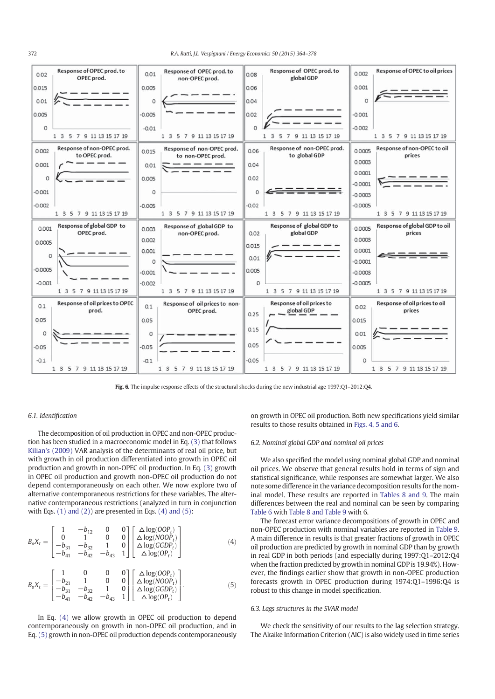# 372 R.A. Ratti, J.L. Vespignani / Energy Economics 50 (2015) 364–378

| 0.02      | Response of OPEC prod. to<br>OPEC prod.     | 0.01     | Response of OPEC prod. to<br>non-OPEC prod.     | 0.08     | Response of OPEC prod. to<br>global GDP        | 0.002                  | <b>Response of OPEC to oil prices</b>   |
|-----------|---------------------------------------------|----------|-------------------------------------------------|----------|------------------------------------------------|------------------------|-----------------------------------------|
| 0.015     |                                             | 0.005    |                                                 | 0.06     |                                                | 0.001                  |                                         |
| 0.01      |                                             | $\circ$  |                                                 | 0.04     |                                                | $\circ$                |                                         |
| 0.005     |                                             | $-0.005$ |                                                 | 0.02     |                                                | $-0.001$               |                                         |
| $\circ$   |                                             | $-0.01$  |                                                 | $\Omega$ |                                                | $-0.002$               |                                         |
|           | 1 3 5 7 9 11 13 15 17 19                    |          | 1 3 5 7 9 11 13 15 17 19                        |          | 7 9 11 13 15 17 19<br>5<br>$\mathbf{1}$<br>3   |                        | 1 3 5 7 9 11 13 15 17 19                |
| 0.002     | Response of non-OPEC prod.<br>to OPEC prod. | 0.015    | Response of non-OPEC prod.<br>to non-OPEC prod. | 0.06     | Response of non-OPEC prod.<br>to global GDP    | 0.0005                 | Response of non-OPEC to oil<br>prices   |
| 0.001     |                                             | 0.01     |                                                 | 0.04     |                                                | 0.0003                 |                                         |
| $\circ$   |                                             | 0.005    |                                                 | 0.02     |                                                | 0.0001                 |                                         |
| $-0.001$  |                                             | $\circ$  |                                                 | $\Omega$ |                                                | $-0.0001$<br>$-0.0003$ |                                         |
| $-0.002$  |                                             | $-0.005$ |                                                 | $-0.02$  |                                                | $-0.0005$              |                                         |
|           | 1 3 5 7 9 11 13 15 17 19                    |          | 1 3 5 7 9 11 13 15 17 19                        |          | 5 7 9 11 13 15 17 19<br>13                     |                        | 1 3 5 7 9 11 13 15 17 19                |
|           |                                             |          |                                                 |          |                                                |                        |                                         |
| 0.001     | Response of global GDP to                   | 0.003    | Response of global GDP to                       |          | Response of global GDP to                      | 0.0005                 | Response of global GDP to oil           |
| 0.0005    | OPEC prod.                                  | 0.002    | non-OPEC prod.                                  | 0.02     | global GDP                                     | 0.0003                 | prices                                  |
|           |                                             | 0.001    |                                                 | 0.015    |                                                | 0.0001                 |                                         |
| $\circ$   |                                             | $\circ$  |                                                 | 0.01     |                                                | $-0.0001$              |                                         |
| $-0.0005$ |                                             | $-0.001$ |                                                 | 0.005    |                                                | $-0.0003$              |                                         |
| $-0.001$  |                                             | $-0.002$ |                                                 | $\Omega$ |                                                | $-0.0005$              |                                         |
|           | 1 3 5 7 9 11 13 15 17 19                    |          | 1 3 5 7 9 11 13 15 17 19                        |          | 1 3 5 7 9 11 13 15 17 19                       |                        | 1 3 5 7 9 11 13 15 17 19                |
| 0.1       | Response of oil prices to OPEC<br>prod.     | 0.1      | Response of oil prices to non-                  |          | <b>Response of oil prices to</b><br>global GDP | 0.02                   | Response of oil prices to oil<br>prices |
| 0.05      |                                             | 0.05     | OPEC prod.                                      | 0.25     |                                                | 0.015                  |                                         |
| $\circ$   |                                             | $\circ$  |                                                 | 0.15     |                                                | 0.01                   |                                         |
| $-0.05$   |                                             | $-0.05$  |                                                 | 0.05     |                                                | 0.005                  |                                         |
| $-0.1$    |                                             | $-0.1$   |                                                 | $-0.05$  |                                                | $\Omega$               |                                         |

Fig. 6. The impulse response effects of the structural shocks during the new industrial age 1997:Q1-2012:Q4.

# 6.1. Identification

The decomposition of oil production in OPEC and non-OPEC production has been studied in a macroeconomic model in Eq. (3) that follows Kilian's (2009) VAR analysis of the determinants of real oil price, but with growth in oil production differentiated into growth in OPEC oil production and growth in non-OPEC oil production. In Eq. (3) growth in OPEC oil production and growth non-OPEC oil production do not depend contemporaneously on each other. We now explore two of alternative contemporaneous restrictions for these variables. The alternative contemporaneous restrictions (analyzed in turn in conjunction with Eqs.  $(1)$  and  $(2)$ ) are presented in Eqs.  $(4)$  and  $(5)$ :

$$
B_o X_t = \begin{bmatrix} 1 & -b_{12} & 0 & 0 \\ 0 & 1 & 0 & 0 \\ -b_{31} & -b_{32} & 1 & 0 \\ -b_{41} & -b_{42} & -b_{43} & 1 \end{bmatrix} \begin{bmatrix} \Delta \log(OOP_t) \\ \Delta \log(NOOP_t) \\ \Delta \log(GCDP_t) \\ \Delta \log(OP_t) \end{bmatrix}
$$
(4)

$$
B_o X_t = \begin{bmatrix} 1 & 0 & 0 & 0 \\ -b_{21} & 1 & 0 & 0 \\ -b_{31} & -b_{32} & 1 & 0 \\ -b_{41} & -b_{42} & -b_{43} & 1 \end{bmatrix} \begin{bmatrix} \Delta \log (OOP_t) \\ \Delta \log (NOOP_t) \\ \Delta \log (GGDP_t) \\ \Delta \log (OP_t) \end{bmatrix} .
$$
 (5)

In Eq. (4) we allow growth in OPEC oil production to depend contemporaneously on growth in non-OPEC oil production, and in Eq. (5) growth in non-OPEC oil production depends contemporaneously on growth in OPEC oil production. Both new specifications yield similar results to those results obtained in Figs. 4, 5 and 6.

# 6.2. Nominal global GDP and nominal oil prices

We also specified the model using nominal global GDP and nominal oil prices. We observe that general results hold in terms of sign and statistical significance, while responses are somewhat larger. We also note some difference in the variance decomposition results for the nominal model. These results are reported in Tables 8 and 9. The main differences between the real and nominal can be seen by comparing Table 6 with Table 8 and Table 9 with 6.

The forecast error variance decompositions of growth in OPEC and non-OPEC production with nominal variables are reported in Table 9. A main difference in results is that greater fractions of growth in OPEC oil production are predicted by growth in nominal GDP than by growth in real GDP in both periods (and especially during 1997:Q1–2012:Q4 when the fraction predicted by growth in nominal GDP is 19.94%). However, the findings earlier show that growth in non-OPEC production forecasts growth in OPEC production during 1974:Q1–1996:Q4 is robust to this change in model specification.

# 6.3. Lags structures in the SVAR model

We check the sensitivity of our results to the lag selection strategy. The Akaike Information Criterion (AIC) is also widely used in time series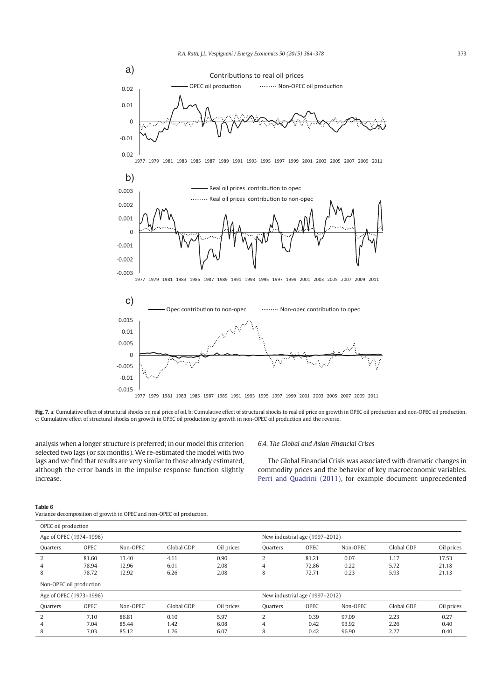

Fig. 7. a: Cumulative effect of structural shocks on real price of oil. b: Cumulative effect of structural shocks to real oil price on growth in OPEC oil production and non-OPEC oil production. c: Cumulative effect of structural shocks on growth in OPEC oil production by growth in non-OPEC oil production and the reverse.

analysis when a longer structure is preferred; in our model this criterion selected two lags (or six months). We re-estimated the model with two lags and we find that results are very similar to those already estimated, although the error bands in the impulse response function slightly increase.

# 6.4. The Global and Asian Financial Crises

The Global Financial Crisis was associated with dramatic changes in commodity prices and the behavior of key macroeconomic variables. Perri and Quadrini (2011), for example document unprecedented

#### Table 6

Variance decomposition of growth in OPEC and non-OPEC oil production.

| OPEC oil production     |          |            |            |                                |                                |          |            |            |  |
|-------------------------|----------|------------|------------|--------------------------------|--------------------------------|----------|------------|------------|--|
| Age of OPEC (1974-1996) |          |            |            |                                | New industrial age (1997–2012) |          |            |            |  |
| OPEC                    | Non-OPEC | Global GDP | Oil prices | Ouarters                       | <b>OPEC</b>                    | Non-OPEC | Global GDP | Oil prices |  |
| 81.60                   | 13.40    | 4.11       | 0.90       | h                              | 81.21                          | 0.07     | 1.17       | 17.53      |  |
| 78.94                   | 12.96    | 6.01       | 2.08       | 4                              | 72.86                          | 0.22     | 5.72       | 21.18      |  |
| 78.72                   | 12.92    | 6.26       | 2.08       | 8                              | 72.71                          | 0.23     | 5.93       | 21.13      |  |
| Non-OPEC oil production |          |            |            |                                |                                |          |            |            |  |
| Age of OPEC (1973-1996) |          |            |            | New industrial age (1997-2012) |                                |          |            |            |  |
| <b>OPEC</b>             | Non-OPEC | Global GDP | Oil prices | Quarters                       | <b>OPEC</b>                    | Non-OPEC | Global GDP | Oil prices |  |
| 7.10                    | 86.81    | 0.10       | 5.97       | h                              | 0.39                           | 97.09    | 2.23       | 0.27       |  |
| 7.04                    | 85.44    | 1.42       | 6.08       | 4                              | 0.42                           | 93.92    | 2.26       | 0.40       |  |
| 7.03                    | 85.12    | 1.76       | 6.07       | 8                              | 0.42                           | 96.90    | 2.27       | 0.40       |  |
|                         |          |            |            |                                |                                |          |            |            |  |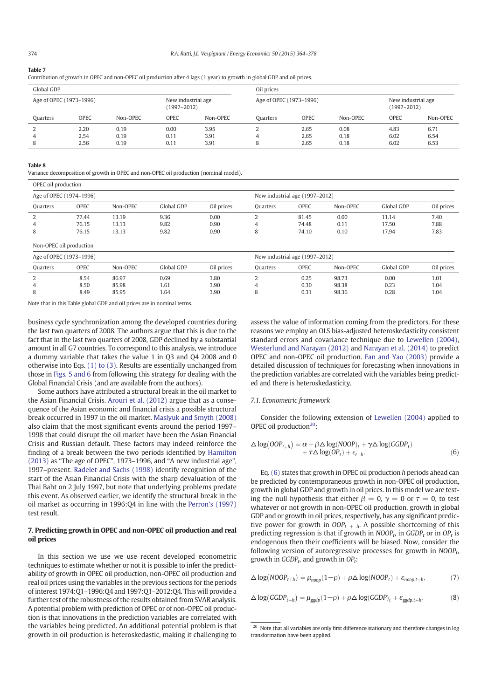#### Table 7

| Contribution of growth in OPEC and non-OPEC oil production after 4 lags (1 year) to growth in global GDP and oil prices. |  |  |  |
|--------------------------------------------------------------------------------------------------------------------------|--|--|--|
|--------------------------------------------------------------------------------------------------------------------------|--|--|--|

| Global GDP              |      |                                       |             |                         | Oil prices |      |                                       |             |          |
|-------------------------|------|---------------------------------------|-------------|-------------------------|------------|------|---------------------------------------|-------------|----------|
| Age of OPEC (1973-1996) |      | New industrial age<br>$(1997 - 2012)$ |             | Age of OPEC (1973-1996) |            |      | New industrial age<br>$(1997 - 2012)$ |             |          |
| Quarters                | OPEC | Non-OPEC                              | <b>OPEC</b> | Non-OPEC                | Quarters   | OPEC | Non-OPEC                              | <b>OPEC</b> | Non-OPEC |
|                         | 2.20 | 0.19                                  | 0.00        | 3.95                    |            | 2.65 | 0.08                                  | 4.83        | 6.71     |
|                         | 2.54 | 0.19                                  | 0.11        | 3.91                    |            | 2.65 | 0.18                                  | 6.02        | 6.54     |
|                         | 2.56 | 0.19                                  | 0.11        | 3.91                    |            | 2.65 | 0.18                                  | 6.02        | 6.53     |

#### Table 8

OPEC oil production

Variance decomposition of growth in OPEC and non-OPEC oil production (nominal model).

| OF EC OIL PLOUDLUOIL    |             |          |            |            |                                |       |          |            |            |
|-------------------------|-------------|----------|------------|------------|--------------------------------|-------|----------|------------|------------|
| Age of OPEC (1974-1996) |             |          |            |            | New industrial age (1997–2012) |       |          |            |            |
| Quarters                | OPEC        | Non-OPEC | Global GDP | Oil prices | Ouarters                       | OPEC  | Non-OPEC | Global GDP | Oil prices |
|                         | 77.44       | 13.19    | 9.36       | 0.00       | 2                              | 81.45 | 0.00     | 11.14      | 7.40       |
| 4                       | 76.15       | 13.13    | 9.82       | 0.90       | $\overline{4}$                 | 74.48 | 0.11     | 17.50      | 7.88       |
| 8                       | 76.15       | 13.13    | 9.82       | 0.90       | 8                              | 74.10 | 0.10     | 17.94      | 7.83       |
| Non-OPEC oil production |             |          |            |            |                                |       |          |            |            |
| Age of OPEC (1973-1996) |             |          |            |            | New industrial age (1997–2012) |       |          |            |            |
| Quarters                | <b>OPEC</b> | Non-OPEC | Global GDP | Oil prices | Quarters                       | OPEC  | Non-OPEC | Global GDP | Oil prices |
|                         | 8.54        | 86.97    | 0.69       | 3.80       | $\overline{\mathcal{L}}$       | 0.25  | 98.73    | 0.00       | 1.01       |
|                         | 8.50        | 85.98    | 1.61       | 3.90       | 4                              | 0.30  | 98.38    | 0.23       | 1.04       |
| 8                       | 8.49        | 85.95    | 1.64       | 3.90       | 8                              | 0.31  | 98.36    | 0.28       | 1.04       |
|                         |             |          |            |            |                                |       |          |            |            |

Note that in this Table global GDP and oil prices are in nominal terms.

business cycle synchronization among the developed countries during the last two quarters of 2008. The authors argue that this is due to the fact that in the last two quarters of 2008, GDP declined by a substantial amount in all G7 countries. To correspond to this analysis, we introduce a dummy variable that takes the value 1 in Q3 and Q4 2008 and 0 otherwise into Eqs. (1) to (3). Results are essentially unchanged from those in Figs. 5 and 6 from following this strategy for dealing with the Global Financial Crisis (and are available from the authors).

Some authors have attributed a structural break in the oil market to the Asian Financial Crisis. Arouri et al. (2012) argue that as a consequence of the Asian economic and financial crisis a possible structural break occurred in 1997 in the oil market. Maslyuk and Smyth (2008) also claim that the most significant events around the period 1997– 1998 that could disrupt the oil market have been the Asian Financial Crisis and Russian default. These factors may indeed reinforce the finding of a break between the two periods identified by Hamilton (2013) as "The age of OPEC", 1973–1996, and "A new industrial age", 1997–present. Radelet and Sachs (1998) identify recognition of the start of the Asian Financial Crisis with the sharp devaluation of the Thai Baht on 2 July 1997, but note that underlying problems predate this event. As observed earlier, we identify the structural break in the oil market as occurring in 1996:Q4 in line with the Perron's (1997) test result.

# 7. Predicting growth in OPEC and non-OPEC oil production and real oil prices

In this section we use we use recent developed econometric techniques to estimate whether or not it is possible to infer the predictability of growth in OPEC oil production, non-OPEC oil production and real oil prices using the variables in the previous sections for the periods of interest 1974:Q1–1996:Q4 and 1997:Q1–2012:Q4. This will provide a further test of the robustness of the results obtained from SVAR analysis. A potential problem with prediction of OPEC or of non-OPEC oil production is that innovations in the prediction variables are correlated with the variables being predicted. An additional potential problem is that growth in oil production is heteroskedastic, making it challenging to assess the value of information coming from the predictors. For these reasons we employ an OLS bias-adjusted heteroskedasticity consistent standard errors and covariance technique due to Lewellen (2004), Westerlund and Narayan (2012) and Narayan et al. (2014) to predict OPEC and non-OPEC oil production. Fan and Yao (2003) provide a detailed discussion of techniques for forecasting when innovations in the prediction variables are correlated with the variables being predicted and there is heteroskedasticity.

#### 7.1. Econometric framework

Consider the following extension of Lewellen (2004) applied to OPEC oil production $20$ :

$$
\Delta \log (OOP_{t+h}) = \alpha + \beta \Delta \log (NOOP)_t + \gamma \Delta \log (GGDP_t) + \tau \Delta \log (OP_t) + \epsilon_{t+h}.
$$
\n(6)

Eq. (6) states that growth in OPEC oil production h periods ahead can be predicted by contemporaneous growth in non-OPEC oil production, growth in global GDP and growth in oil prices. In this model we are testing the null hypothesis that either  $\beta = 0$ ,  $\gamma = 0$  or  $\tau = 0$ , to test whatever or not growth in non-OPEC oil production, growth in global GDP and or growth in oil prices, respectively, has any significant predictive power for growth in  $OOP_{t + h}$ . A possible shortcoming of this predicting regression is that if growth in  $NOOP<sub>t</sub>$ , in  $GGDP<sub>t</sub>$  or in  $OP<sub>t</sub>$  is endogenous then their coefficients will be biased. Now, consider the following version of autoregressive processes for growth in  $NOOP<sub>t</sub>$ , growth in  $GGDP_t$ , and growth in  $OP_t$ :

$$
\Delta \log(NOOP_{t+h}) = \mu_{\text{noop}}(1-\rho) + \rho \Delta \log(NOOP_t) + \varepsilon_{\text{noop},t+h},\tag{7}
$$

$$
\Delta \log(GGDP_{t+h}) = \mu_{ggdp}(1-\rho) + \rho \Delta \log(GGDP)_t + \varepsilon_{ggdp,t+h},\tag{8}
$$

<sup>&</sup>lt;sup>20</sup> Note that all variables are only first difference stationary and therefore changes in log transformation have been applied.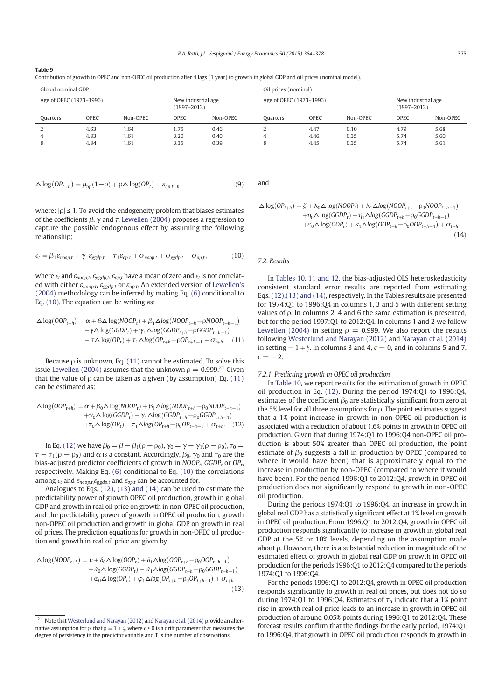| ۰. |   |
|----|---|
| I  | ۰ |

| $\mathbf{u}$<br>Contribution of growth in OPEC and non-OPEC oil production after 4 lags (1 year) to growth in global GDP and oil prices (nominal model). |  |                      |  |  |  |  |  |
|----------------------------------------------------------------------------------------------------------------------------------------------------------|--|----------------------|--|--|--|--|--|
| Global nominal GDP                                                                                                                                       |  | Oil prices (nominal) |  |  |  |  |  |
| Connections incom                                                                                                                                        |  |                      |  |  |  |  |  |

| Giupai noniniai GDI<br>UII DIRCO (HUIHHIIII) |             |                                       |      |          |                         |      |                                       |      |          |
|----------------------------------------------|-------------|---------------------------------------|------|----------|-------------------------|------|---------------------------------------|------|----------|
| Age of OPEC (1973-1996)                      |             | New industrial age<br>$(1997 - 2012)$ |      |          | Age of OPEC (1973-1996) |      | New industrial age<br>$(1997 - 2012)$ |      |          |
| Quarters                                     | <b>OPEC</b> | Non-OPEC                              | OPEC | Non-OPEC | Quarters                | OPEC | Non-OPEC                              | OPEC | Non-OPEC |
|                                              | 4.63        | 1.64                                  | 1.75 | 0.46     |                         | 4.47 | 0.10                                  | 4.79 | 5.68     |
|                                              | 4.83        | 1.61                                  | 3.20 | 0.40     |                         | 4.46 | 0.35                                  | 5.74 | 5.60     |
|                                              | 4.84        | 1.61                                  | 3.35 | 0.39     |                         | 4.45 | 0.35                                  | 5.74 | 5.61     |

$$
\Delta \log (OP_{t+h}) = \mu_{op}(1-\rho) + \rho \Delta \log (OP_t) + \varepsilon_{op,t+h},\tag{9}
$$

shla 0

where:  $|\rho| \leq 1$ . To avoid the endogeneity problem that biases estimates of the coefficients  $β$ ,  $γ$  and  $τ$ , Lewellen (2004) proposes a regression to capture the possible endogenous effect by assuming the following relationship:

$$
\epsilon_t = \beta_1 \varepsilon_{\text{noop},t} + \gamma_1 \varepsilon_{\text{ggdp},t} + \tau_1 \varepsilon_{\text{op},t} + \sigma_{\text{noop},t} + \sigma_{\text{ggdp},t} + \sigma_{\text{op},t},\tag{10}
$$

where  $\epsilon_t$  and  $\varepsilon_{nooph}$ ,  $\varepsilon_{ggdp,t}$ ,  $\varepsilon_{opt}$  have a mean of zero and  $\epsilon_t$  is not correlated with either  $\varepsilon_{nooph}$ ,  $\varepsilon_{ggdp,t}$  or  $\varepsilon_{opt}$ . An extended version of Lewellen's (2004) methodology can be inferred by making Eq. (6) conditional to Eq. (10). The equation can be writing as:

$$
\Delta \log (OOD_{t+h}) = \alpha + \beta \Delta \log (NOOP_t) + \beta_1 \Delta \log (NOOP_{t+h} - pNOOP_{t+h-1})
$$
  
+  $\gamma \Delta \log (GGDP_t) + \gamma_1 \Delta \log (GGDP_{t+h} - pGGDP_{t+h-1})$   
+  $\tau \Delta \log (OP_t) + \tau_1 \Delta \log (OP_{t+h} - pOP_{t+h-1} + \sigma_{t+h}.$  (11)

Because  $\rho$  is unknown, Eq. (11) cannot be estimated. To solve this issue Lewellen (2004) assumes that the unknown  $\rho = 0.999^{21}$  Given that the value of  $\rho$  can be taken as a given (by assumption) Eq. (11) can be estimated as:

$$
\Delta \log (OOP_{t+h}) = \alpha + \beta_0 \Delta \log (NOOP_t) + \beta_1 \Delta \log (NOOP_{t+h} - p_0 NOOP_{t+h-1})
$$
  
+ $\gamma_0 \Delta \log (GGDP_t) + \gamma_1 \Delta \log (GGDP_{t+h} - p_0 GGDP_{t+h-1})$   
+ $\tau_0 \Delta \log (OP_t) + \tau_1 \Delta \log (OP_{t+h} - p_0 OP_{t+h-1} + \sigma_{t+h}.$  (12)

In Eq. (12) we have  $\beta_0 = \beta - \beta_1(\rho - \rho_0)$ ,  $\gamma_0 = \gamma - \gamma_1(\rho - \rho_0)$ ,  $\tau_0 =$  $\tau - \tau_1(\rho - \rho_0)$  and  $\alpha$  is a constant. Accordingly,  $\beta_0$ ,  $\gamma_0$  and  $\tau_0$  are the bias-adjusted predictor coefficients of growth in  $NOOP_t$ ,  $GCDP_t$  or  $OP_t$ , respectively. Making Eq. (6) conditional to Eq. (10) the correlations among  $\epsilon_t$  and  $\varepsilon_{noop,t}$ , $\varepsilon_{ggdp,t}$  and  $\varepsilon_{op,t}$  can be accounted for.

Analogues to Eqs. (12), (13) and (14) can be used to estimate the predictability power of growth OPEC oil production, growth in global GDP and growth in real oil price on growth in non-OPEC oil production, and the predictability power of growth in OPEC oil production, growth non-OPEC oil production and growth in global GDP on growth in real oil prices. The prediction equations for growth in non-OPEC oil production and growth in real oil price are given by

$$
\Delta \log(NOOP_{t+h}) = \nu + \delta_0 \Delta \log(OOP_t) + \delta_1 \Delta \log(OOP_{t+h} - p_0 OOP_{t+h-1})
$$
  
+  $\vartheta_0 \Delta \log(GGDP_t) + \vartheta_1 \Delta \log(GGDP_{t+h} - p_0 GGDP_{t+h-1})$   
+  $\varphi_0 \Delta \log(OP_t) + \varphi_1 \Delta \log(OP_{t+h} - p_0 OP_{t+h-1}) + \sigma_{t+h}$   
(13)

and

$$
\Delta \log(OP_{t+h}) = \zeta + \lambda_0 \Delta \log(NOOP_t) + \lambda_1 \Delta \log(NOOP_{t+h} - \rho_0 NOOP_{t+h-1})
$$
  
+
$$
\eta_0 \Delta \log(GGDP_t) + \eta_1 \Delta \log(GGDP_{t+h} - \rho_0 GGP_{t+h-1})
$$
  
+
$$
\kappa_0 \Delta \log(OOP_t) + \kappa_1 \Delta \log(OOP_{t+h} - \rho_0 OOP_{t+h-1}) + \sigma_{t+h}.
$$
  
(14)

7.2. Results

In Tables 10, 11 and 12, the bias-adjusted OLS heteroskedasticity consistent standard error results are reported from estimating Eqs. (12),(13) and (14), respectively. In the Tables results are presented for 1974:Q1 to 1996:Q4 in columns 1, 3 and 5 with different setting values of ρ. In columns 2, 4 and 6 the same estimation is presented, but for the period 1997:Q1 to 2012:Q4. In columns 1 and 2 we follow Lewellen (2004) in setting  $\rho = 0.999$ . We also report the results following Westerlund and Narayan (2012) and Narayan et al. (2014) in setting  $= 1 + \frac{c}{T}$ . In columns 3 and 4,  $c = 0$ , and in columns 5 and 7,  $c = -2$ .

# 7.2.1. Predicting growth in OPEC oil production

In Table 10, we report results for the estimation of growth in OPEC oil production in Eq. (12). During the period 1974:Q1 to 1996:Q4, estimates of the coefficient  $\beta_0$  are statistically significant from zero at the 5% level for all three assumptions for  $ρ$ . The point estimates suggest that a 1% point increase in growth in non-OPEC oil production is associated with a reduction of about 1.6% points in growth in OPEC oil production. Given that during 1974:Q1 to 1996:Q4 non-OPEC oil production is about 50% greater than OPEC oil production, the point estimate of  $\beta_0$  suggests a fall in production by OPEC (compared to where it would have been) that is approximately equal to the increase in production by non-OPEC (compared to where it would have been). For the period 1996:Q1 to 2012:Q4, growth in OPEC oil production does not significantly respond to growth in non-OPEC oil production.

During the periods 1974:Q1 to 1996:Q4, an increase in growth in global real GDP has a statistically significant effect at 1% level on growth in OPEC oil production. From 1996:Q1 to 2012:Q4, growth in OPEC oil production responds significantly to increase in growth in global real GDP at the 5% or 10% levels, depending on the assumption made about ρ. However, there is a substantial reduction in magnitude of the estimated effect of growth in global real GDP on growth in OPEC oil production for the periods 1996:Q1 to 2012:Q4 compared to the periods 1974:Q1 to 1996:Q4.

For the periods 1996:Q1 to 2012:Q4, growth in OPEC oil production responds significantly to growth in real oil prices, but does not do so during 1974:Q1 to 1996:Q4. Estimates of  $\tau_0$  indicate that a 1% point rise in growth real oil price leads to an increase in growth in OPEC oil production of around 0.05% points during 1996:Q1 to 2012:Q4. These forecast results confirm that the findings for the early period, 1974:Q1 to 1996:Q4, that growth in OPEC oil production responds to growth in

<sup>&</sup>lt;sup>21</sup> Note that Westerlund and Narayan (2012) and Narayan et al. (2014) provide an alternative assumption for  $ρ$ , that  $ρ = 1 + \frac{c}{p}$ , where  $c ≤ 0$  is a drift parameter that measures the degree of persistency in the predictor variable and T is the number of observations.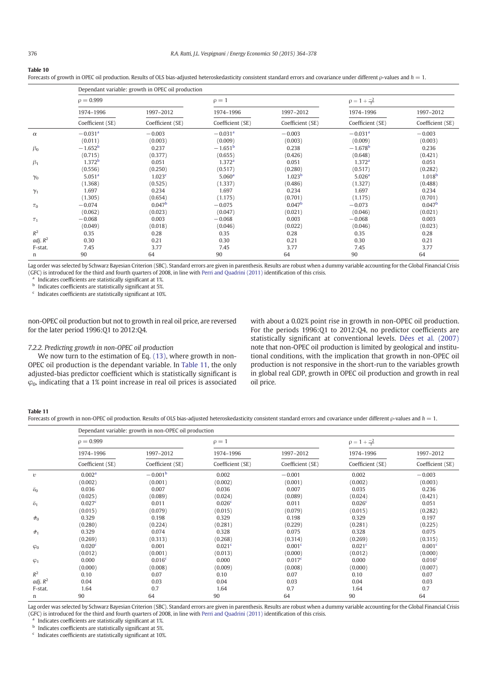#### Table 10

Forecasts of growth in OPEC oil production. Results of OLS bias-adjusted heteroskedasticity consistent standard errors and covariance under different ρ-values and  $h = 1$ .

|                     | Dependant variable: growth in OPEC oil production |                        |                       |                    |                           |                    |  |
|---------------------|---------------------------------------------------|------------------------|-----------------------|--------------------|---------------------------|--------------------|--|
|                     | $\rho = 0.999$                                    |                        | $\rho = 1$            |                    | $\rho = 1 + \frac{-2}{r}$ |                    |  |
|                     | 1974-1996                                         | 1997-2012<br>1974-1996 |                       | 1997-2012          | 1974-1996                 | 1997-2012          |  |
|                     | Coefficient (SE)                                  | Coefficient (SE)       | Coefficient (SE)      | Coefficient (SE)   | Coefficient (SE)          | Coefficient (SE)   |  |
| $\alpha$            | $-0.031$ <sup>a</sup>                             | $-0.003$               | $-0.031$ <sup>a</sup> | $-0.003$           | $-0.031$ <sup>a</sup>     | $-0.003$           |  |
|                     | (0.011)                                           | (0.003)                | (0.009)               | (0.003)            | (0.009)                   | (0.003)            |  |
| $\beta_0$           | $-1.652^{\rm b}$                                  | 0.237                  | $-1.651^{\rm b}$      | 0.238              | $-1.678^{\rm b}$          | 0.236              |  |
|                     | (0.715)                                           | (0.377)                | (0.655)               | (0.426)            | (0.648)                   | (0.421)            |  |
| $\beta_1$           | 1.372 <sup>b</sup>                                | 0.051                  | 1.372 <sup>a</sup>    | 0.051              | 1.372 <sup>a</sup>        | 0.051              |  |
|                     | (0.556)                                           | (0.250)                | (0.517)               | (0.280)            | (0.517)                   | (0.282)            |  |
| $\gamma_0$          | 5.051 <sup>a</sup>                                | 1.023 <sup>c</sup>     | 5.060 <sup>a</sup>    | 1.023 <sup>b</sup> | 5.026 <sup>a</sup>        | 1.018 <sup>b</sup> |  |
|                     | (1.368)                                           | (0.525)                | (1.337)               | (0.486)            | (1.327)                   | (0.488)            |  |
| $\gamma_1$          | 1.697                                             | 0.234                  | 1.697                 | 0.234              | 1.697                     | 0.234              |  |
|                     | (1.305)                                           | (0.654)                | (1.175)               | (0.701)            | (1.175)                   | (0.701)            |  |
| $\tau_0$            | $-0.074$                                          | 0.047 <sup>b</sup>     | $-0.075$              | 0.047 <sup>b</sup> | $-0.073$                  | 0.047 <sup>b</sup> |  |
|                     | (0.062)                                           | (0.023)                | (0.047)               | (0.021)            | (0.046)                   | (0.021)            |  |
| $\tau_1$            | $-0.068$                                          | 0.003                  | $-0.068$              | 0.003              | $-0.068$                  | 0.003              |  |
|                     | (0.049)                                           | (0.018)                | (0.046)               | (0.022)            | (0.046)                   | (0.023)            |  |
| $R^2$               | 0.35                                              | 0.28                   | 0.35                  | 0.28               | 0.35                      | 0.28               |  |
| adj. R <sup>2</sup> | 0.30                                              | 0.21                   | 0.30                  | 0.21               | 0.30                      | 0.21               |  |
| F-stat.             | 7.45                                              | 3.77                   | 7.45                  | 3.77               | 7.45                      | 3.77               |  |
| n                   | 90                                                | 64                     | 90                    | 64                 | 90                        | 64                 |  |

Lag order was selected by Schwarz Bayesian Criterion (SBC). Standard errors are given in parenthesis. Results are robust when a dummy variable accounting for the Global Financial Crisis (GFC) is introduced for the third and fourth quarters of 2008, in line with Perri and Quadrini (2011) identification of this crisis.

<sup>a</sup> Indicates coefficients are statistically significant at 1%.

**b** Indicates coefficients are statistically significant at 5%.

 $c$  Indicates coefficients are statistically significant at 10%.

# non-OPEC oil production but not to growth in real oil price, are reversed for the later period 1996:Q1 to 2012:Q4.

# 7.2.2. Predicting growth in non-OPEC oil production

We now turn to the estimation of Eq. (13), where growth in non-OPEC oil production is the dependant variable. In Table 11, the only adjusted-bias predictor coefficient which is statistically significant is  $\varphi$ <sub>0</sub>, indicating that a 1% point increase in real oil prices is associated

with about a 0.02% point rise in growth in non-OPEC oil production. For the periods 1996:Q1 to 2012:Q4, no predictor coefficients are statistically significant at conventional levels. Dées et al. (2007) note that non-OPEC oil production is limited by geological and institutional conditions, with the implication that growth in non-OPEC oil production is not responsive in the short-run to the variables growth in global real GDP, growth in OPEC oil production and growth in real oil price.

#### Table 11

Forecasts of growth in non-OPEC oil production. Results of OLS bias-adjusted heteroskedasticity consistent standard errors and covariance under different  $\rho$ -values and  $h = 1$ .

|             | Dependant variable: growth in non-OPEC oil production |                    |                    |                    |                    |                           |  |
|-------------|-------------------------------------------------------|--------------------|--------------------|--------------------|--------------------|---------------------------|--|
|             | $\rho = 0.999$                                        |                    | $\rho = 1$         |                    |                    | $\rho = 1 + \frac{-2}{T}$ |  |
|             | 1974-1996                                             | 1997-2012          | 1974-1996          | 1997-2012          | 1974-1996          | 1997-2012                 |  |
|             | Coefficient (SE)                                      | Coefficient (SE)   | Coefficient (SE)   | Coefficient (SE)   | Coefficient (SE)   | Coefficient (SE)          |  |
| $\upsilon$  | 0.002 <sup>a</sup>                                    | $-0.001^{\rm b}$   | 0.002              | $-0.001$           | 0.002              | $-0.003$                  |  |
|             | (0.002)                                               | (0.001)            | (0.002)            | (0.001)            | (0.002)            | (0.003)                   |  |
| $\delta_0$  | 0.036                                                 | 0.007              | 0.036              | 0.007              | 0.035              | 0.236                     |  |
|             | (0.025)                                               | (0.089)            | (0.024)            | (0.089)            | (0.024)            | (0.421)                   |  |
| $\delta_1$  | 0.027 <sup>c</sup>                                    | 0.011              | 0.026 <sup>c</sup> | 0.011              | 0.026c             | 0.051                     |  |
|             | (0.015)                                               | (0.079)            | (0.015)            | (0.079)            | (0.015)            | (0.282)                   |  |
| $v_0$       | 0.329                                                 | 0.198              | 0.329              | 0.198              | 0.329              | 0.197                     |  |
|             | (0.280)                                               | (0.224)            | (0.281)            | (0.229)            | (0.281)            | (0.225)                   |  |
| $v_1$       | 0.329                                                 | 0.074              | 0.328              | 0.075              | 0.328              | 0.075                     |  |
|             | (0.269)                                               | (0.313)            | (0.268)            | (0.314)            | (0.269)            | (0.315)                   |  |
| $\varphi_0$ | 0.020 <sup>c</sup>                                    | 0.001              | 0.021c             | 0.001 <sup>c</sup> | 0.021 <sup>c</sup> | 0.001 <sup>c</sup>        |  |
|             | (0.012)                                               | (0.001)            | (0.013)            | (0.000)            | (0.012)            | (0.000)                   |  |
| $\varphi_1$ | 0.000                                                 | 0.016 <sup>c</sup> | 0.000              | 0.017 <sup>c</sup> | 0.000              | 0.016 <sup>c</sup>        |  |
|             | (0.000)                                               | (0.008)            | (0.009)            | (0.008)            | (0.000)            | (0.007)                   |  |
| $R^2$       | 0.10                                                  | 0.07               | 0.10               | 0.07               | 0.10               | 0.07                      |  |
| adj. $R^2$  | 0.04                                                  | 0.03               | 0.04               | 0.03               | 0.04               | 0.03                      |  |
| F-stat.     | 1.64                                                  | 0.7                | 1.64               | 0.7                | 1.64               | 0.7                       |  |
| n           | 90                                                    | 64                 | 90                 | 64                 | 90                 | 64                        |  |

Lag order was selected by Schwarz Bayesian Criterion (SBC). Standard errors are given in parenthesis. Results are robust when a dummy variable accounting for the Global Financial Crisis (GFC) is introduced for the third and fourth quarters of 2008, in line with Perri and Quadrini (2011) identification of this crisis.

a Indicates coefficients are statistically significant at 1%.

**b** Indicates coefficients are statistically significant at 5%.

 $c$  Indicates coefficients are statistically significant at 10%.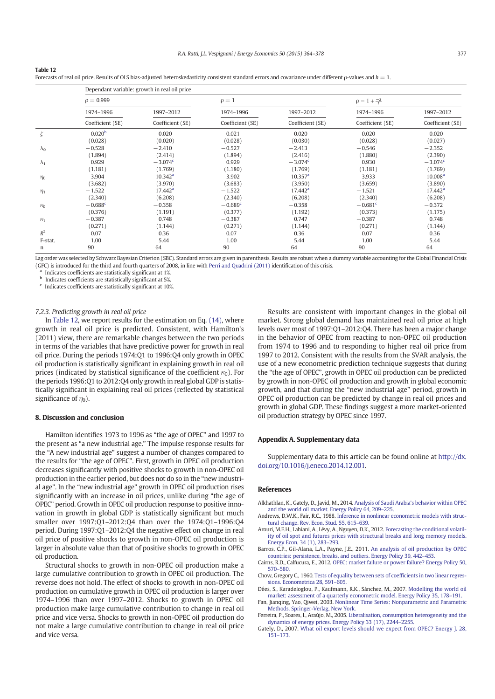| Table 12                                                                                                                                                    |  |
|-------------------------------------------------------------------------------------------------------------------------------------------------------------|--|
| Forecasts of real oil price. Results of OLS bias-adiusted heteroskedasticity consistent standard errors and covariance under different o-values and $h=1$ . |  |

|             | Dependant variable: growth in real oil price |                     |                  |                     |                           |                     |  |
|-------------|----------------------------------------------|---------------------|------------------|---------------------|---------------------------|---------------------|--|
|             | $\rho = 0.999$                               |                     | $\rho = 1$       |                     | $\rho = 1 + \frac{-2}{r}$ |                     |  |
|             | 1974-1996                                    | 1997-2012           | 1974-1996        | 1997-2012           | 1974-1996                 | 1997-2012           |  |
|             | Coefficient (SE)                             | Coefficient (SE)    | Coefficient (SE) | Coefficient (SE)    | Coefficient (SE)          | Coefficient (SE)    |  |
| $\zeta$     | $-0.020b$                                    | $-0.020$            | $-0.021$         | $-0.020$            | $-0.020$                  | $-0.020$            |  |
|             | (0.028)                                      | (0.020)             | (0.028)          | (0.030)             | (0.028)                   | (0.027)             |  |
| $\lambda_0$ | $-0.528$                                     | $-2.410$            | $-0.527$         | $-2.413$            | $-0.546$                  | $-2.352$            |  |
|             | (1.894)                                      | (2.414)             | (1.894)          | (2.416)             | (1.880)                   | (2.390)             |  |
| $\lambda_1$ | 0.929                                        | $-3.074^c$          | 0.929            | $-3.074^c$          | 0.930                     | $-3.074^c$          |  |
|             | (1.181)                                      | (1.769)             | (1.180)          | (1.769)             | (1.181)                   | (1.769)             |  |
| $\eta_0$    | 3.904                                        | 10.342 <sup>a</sup> | 3.902            | 10.357 <sup>a</sup> | 3.933                     | 10.008 <sup>a</sup> |  |
|             | (3.682)                                      | (3.970)             | (3.683)          | (3.950)             | (3.659)                   | (3.890)             |  |
| $\eta_1$    | $-1.522$                                     | 17.442 <sup>a</sup> | $-1.522$         | 17.442 <sup>a</sup> | $-1.521$                  | 17.442 <sup>a</sup> |  |
|             | (2.340)                                      | (6.208)             | (2.340)          | (6.208)             | (2.340)                   | (6.208)             |  |
| $\kappa_0$  | $-0.688$ c                                   | $-0.358$            | $-0.689c$        | $-0.358$            | $-0.681$ <sup>c</sup>     | $-0.372$            |  |
|             | (0.376)                                      | (1.191)             | (0.377)          | (1.192)             | (0.373)                   | (1.175)             |  |
| $\kappa_1$  | $-0.387$                                     | 0.748               | $-0.387$         | 0.747               | $-0.387$                  | 0.748               |  |
|             | (0.271)                                      | (1.144)             | (0.271)          | (1.144)             | (0.271)                   | (1.144)             |  |
| $R^2$       | 0.07                                         | 0.36                | 0.07             | 0.36                | 0.07                      | 0.36                |  |
| F-stat.     | 1.00                                         | 5.44                | 1.00             | 5.44                | 1.00                      | 5.44                |  |
| n           | 90                                           | 64                  | 90               | 64                  | 90                        | 64                  |  |

Lag order was selected by Schwarz Bayesian Criterion (SBC). Standard errors are given in parenthesis. Results are robust when a dummy variable accounting for the Global Financial Crisis (GFC) is introduced for the third and fourth quarters of 2008, in line with Perri and Quadrini (2011) identification of this crisis.

Indicates coefficients are statistically significant at 1%.

**b** Indicates coefficients are statistically significant at 5%.

 $c$  Indicates coefficients are statistically significant at 10%.

# 7.2.3. Predicting growth in real oil price

In Table 12, we report results for the estimation on Eq. (14), where growth in real oil price is predicted. Consistent, with Hamilton's (2011) view, there are remarkable changes between the two periods in terms of the variables that have predictive power for growth in real oil price. During the periods 1974:Q1 to 1996:Q4 only growth in OPEC oil production is statistically significant in explaining growth in real oil prices (indicated by statistical significance of the coefficient  $\kappa_0$ ). For the periods 1996:Q1 to 2012:Q4 only growth in real global GDP is statistically significant in explaining real oil prices (reflected by statistical significance of  $\eta_0$ ).

# 8. Discussion and conclusion

Hamilton identifies 1973 to 1996 as "the age of OPEC" and 1997 to the present as "a new industrial age." The impulse response results for the "A new industrial age" suggest a number of changes compared to the results for "the age of OPEC". First, growth in OPEC oil production decreases significantly with positive shocks to growth in non-OPEC oil production in the earlier period, but does not do so in the "new industrial age". In the "new industrial age" growth in OPEC oil production rises significantly with an increase in oil prices, unlike during "the age of OPEC" period. Growth in OPEC oil production response to positive innovation in growth in global GDP is statistically significant but much smaller over 1997:Q1–2012:Q4 than over the 1974:Q1–1996:Q4 period. During 1997:Q1–2012:Q4 the negative effect on change in real oil price of positive shocks to growth in non-OPEC oil production is larger in absolute value than that of positive shocks to growth in OPEC oil production.

Structural shocks to growth in non-OPEC oil production make a large cumulative contribution to growth in OPEC oil production. The reverse does not hold. The effect of shocks to growth in non-OPEC oil production on cumulative growth in OPEC oil production is larger over 1974–1996 than over 1997–2012. Shocks to growth in OPEC oil production make large cumulative contribution to change in real oil price and vice versa. Shocks to growth in non-OPEC oil production do not make a large cumulative contribution to change in real oil price and vice versa.

Results are consistent with important changes in the global oil market. Strong global demand has maintained real oil price at high levels over most of 1997:Q1–2012:Q4. There has been a major change in the behavior of OPEC from reacting to non-OPEC oil production from 1974 to 1996 and to responding to higher real oil price from 1997 to 2012. Consistent with the results from the SVAR analysis, the use of a new econometric prediction technique suggests that during the "the age of OPEC", growth in OPEC oil production can be predicted by growth in non-OPEC oil production and growth in global economic growth, and that during the "new industrial age" period, growth in OPEC oil production can be predicted by change in real oil prices and growth in global GDP. These findings suggest a more market-oriented oil production strategy by OPEC since 1997.

# Appendix A. Supplementary data

Supplementary data to this article can be found online at http://dx. doi.org/10.1016/j.eneco.2014.12.001.

# References

- Alkhathlan, K., Gately, D., Javid, M., 2014. Analysis of Saudi Arabia's behavior within OPEC and the world oil market. Energy Policy 64, 209–225.
- Andrews, D.W.K., Fair, R.C., 1988. Inference in nonlinear econometric models with structural change. Rev. Econ. Stud. 55, 615–639.
- Arouri, M.E.H., Lahiani, A., Lévy, A., Nguyen, D.K., 2012. Forecasting the conditional volatility of oil spot and futures prices with structural breaks and long memory models. Energy Econ. 34 (1), 283–293.
- Barros, C.P., Gil-Alana, L.A., Payne, J.E., 2011. An analysis of oil production by OPEC countries: persistence, breaks, and outliers. Energy Policy 39, 442–453.
- Cairns, R.D., Calfucura, E., 2012. OPEC: market failure or power failure? Energy Policy 50, 570–580.
- Chow, Gregory C., 1960. Tests of equality between sets of coefficients in two linear regressions. Econometrica 28, 591–605.
- Dées, S., Karadeloglou, P., Kaufmann, R.K., Sánchez, M., 2007. Modelling the world oil market: assessment of a quarterly econometric model. Energy Policy 35, 178–191.
- Fan, Jianqing, Yao, Qiwei, 2003. Nonlinear Time Series: Nonparametric and Parametric Methods. Springer-Verlag, New York. Ferreira, P., Soares, I., Araújo, M., 2005. Liberalisation, consumption heterogeneity and the
- dynamics of energy prices. Energy Policy 33 (17), 2244–2255. Gately, D., 2007. What oil export levels should we expect from OPEC? Energy J. 28,
- 151–173.